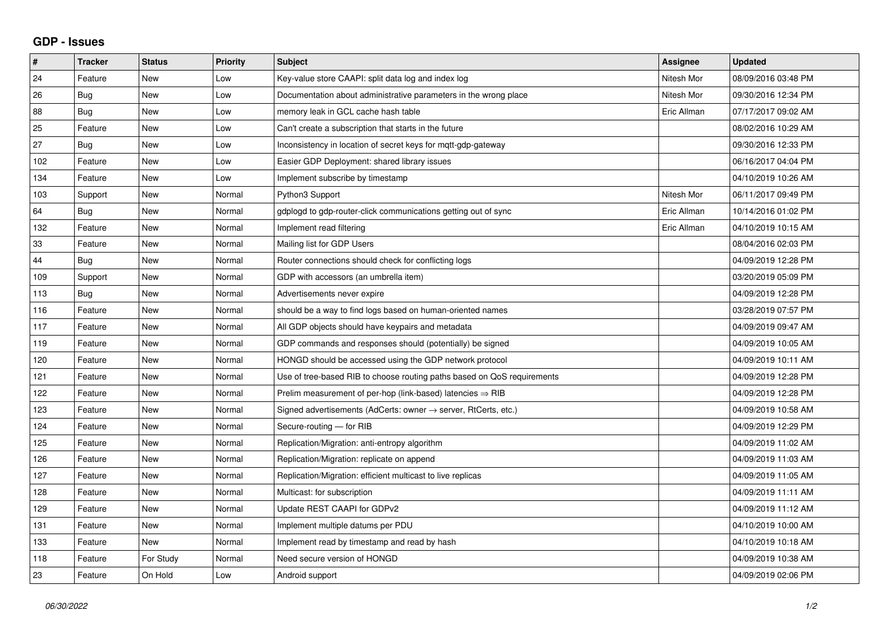## **GDP - Issues**

| $\vert$ # | <b>Tracker</b> | <b>Status</b> | <b>Priority</b> | <b>Subject</b>                                                             | Assignee    | <b>Updated</b>      |
|-----------|----------------|---------------|-----------------|----------------------------------------------------------------------------|-------------|---------------------|
| 24        | Feature        | <b>New</b>    | Low             | Key-value store CAAPI: split data log and index log                        | Nitesh Mor  | 08/09/2016 03:48 PM |
| 26        | <b>Bug</b>     | <b>New</b>    | Low             | Documentation about administrative parameters in the wrong place           | Nitesh Mor  | 09/30/2016 12:34 PM |
| 88        | Bug            | New           | Low             | memory leak in GCL cache hash table                                        | Eric Allman | 07/17/2017 09:02 AM |
| 25        | Feature        | <b>New</b>    | Low             | Can't create a subscription that starts in the future                      |             | 08/02/2016 10:29 AM |
| 27        | Bug            | <b>New</b>    | Low             | Inconsistency in location of secret keys for mqtt-gdp-gateway              |             | 09/30/2016 12:33 PM |
| 102       | Feature        | <b>New</b>    | Low             | Easier GDP Deployment: shared library issues                               |             | 06/16/2017 04:04 PM |
| 134       | Feature        | New           | Low             | Implement subscribe by timestamp                                           |             | 04/10/2019 10:26 AM |
| 103       | Support        | New           | Normal          | Python3 Support                                                            | Nitesh Mor  | 06/11/2017 09:49 PM |
| 64        | <b>Bug</b>     | <b>New</b>    | Normal          | gdplogd to gdp-router-click communications getting out of sync             | Eric Allman | 10/14/2016 01:02 PM |
| 132       | Feature        | <b>New</b>    | Normal          | Implement read filtering                                                   | Eric Allman | 04/10/2019 10:15 AM |
| 33        | Feature        | <b>New</b>    | Normal          | Mailing list for GDP Users                                                 |             | 08/04/2016 02:03 PM |
| 44        | Bug            | New           | Normal          | Router connections should check for conflicting logs                       |             | 04/09/2019 12:28 PM |
| 109       | Support        | <b>New</b>    | Normal          | GDP with accessors (an umbrella item)                                      |             | 03/20/2019 05:09 PM |
| 113       | Bug            | <b>New</b>    | Normal          | Advertisements never expire                                                |             | 04/09/2019 12:28 PM |
| 116       | Feature        | <b>New</b>    | Normal          | should be a way to find logs based on human-oriented names                 |             | 03/28/2019 07:57 PM |
| 117       | Feature        | <b>New</b>    | Normal          | All GDP objects should have keypairs and metadata                          |             | 04/09/2019 09:47 AM |
| 119       | Feature        | <b>New</b>    | Normal          | GDP commands and responses should (potentially) be signed                  |             | 04/09/2019 10:05 AM |
| 120       | Feature        | <b>New</b>    | Normal          | HONGD should be accessed using the GDP network protocol                    |             | 04/09/2019 10:11 AM |
| 121       | Feature        | New           | Normal          | Use of tree-based RIB to choose routing paths based on QoS requirements    |             | 04/09/2019 12:28 PM |
| 122       | Feature        | <b>New</b>    | Normal          | Prelim measurement of per-hop (link-based) latencies $\Rightarrow$ RIB     |             | 04/09/2019 12:28 PM |
| 123       | Feature        | <b>New</b>    | Normal          | Signed advertisements (AdCerts: owner $\rightarrow$ server, RtCerts, etc.) |             | 04/09/2019 10:58 AM |
| 124       | Feature        | <b>New</b>    | Normal          | Secure-routing - for RIB                                                   |             | 04/09/2019 12:29 PM |
| 125       | Feature        | New           | Normal          | Replication/Migration: anti-entropy algorithm                              |             | 04/09/2019 11:02 AM |
| 126       | Feature        | <b>New</b>    | Normal          | Replication/Migration: replicate on append                                 |             | 04/09/2019 11:03 AM |
| 127       | Feature        | <b>New</b>    | Normal          | Replication/Migration: efficient multicast to live replicas                |             | 04/09/2019 11:05 AM |
| 128       | Feature        | <b>New</b>    | Normal          | Multicast: for subscription                                                |             | 04/09/2019 11:11 AM |
| 129       | Feature        | <b>New</b>    | Normal          | Update REST CAAPI for GDPv2                                                |             | 04/09/2019 11:12 AM |
| 131       | Feature        | <b>New</b>    | Normal          | Implement multiple datums per PDU                                          |             | 04/10/2019 10:00 AM |
| 133       | Feature        | <b>New</b>    | Normal          | Implement read by timestamp and read by hash                               |             | 04/10/2019 10:18 AM |
| 118       | Feature        | For Study     | Normal          | Need secure version of HONGD                                               |             | 04/09/2019 10:38 AM |
| 23        | Feature        | On Hold       | Low             | Android support                                                            |             | 04/09/2019 02:06 PM |